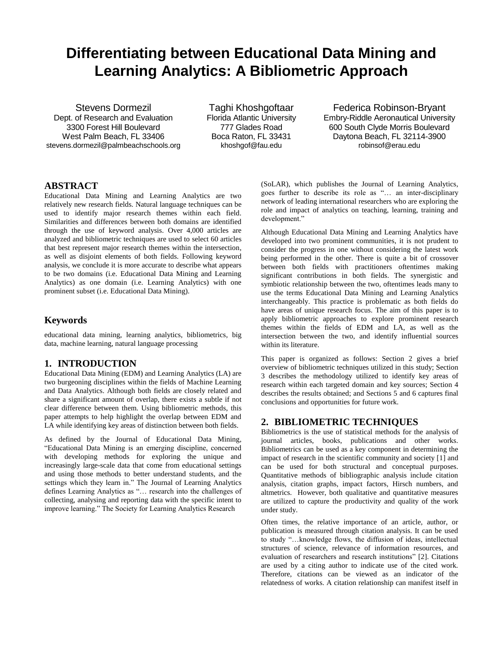# **Differentiating between Educational Data Mining and Learning Analytics: A Bibliometric Approach**

Stevens Dormezil Dept. of Research and Evaluation 3300 Forest Hill Boulevard West Palm Beach, FL 33406 stevens.dormezil@palmbeachschools.org

Taghi Khoshgoftaar Florida Atlantic University 777 Glades Road Boca Raton, FL 33431 khoshgof@fau.edu

Federica Robinson-Bryant Embry-Riddle Aeronautical University 600 South Clyde Morris Boulevard Daytona Beach, FL 32114-3900 robinsof@erau.edu

# **ABSTRACT**

Educational Data Mining and Learning Analytics are two relatively new research fields. Natural language techniques can be used to identify major research themes within each field. Similarities and differences between both domains are identified through the use of keyword analysis. Over 4,000 articles are analyzed and bibliometric techniques are used to select 60 articles that best represent major research themes within the intersection, as well as disjoint elements of both fields. Following keyword analysis, we conclude it is more accurate to describe what appears to be two domains (i.e. Educational Data Mining and Learning Analytics) as one domain (i.e. Learning Analytics) with one prominent subset (i.e. Educational Data Mining).

# **Keywords**

educational data mining, learning analytics, bibliometrics, big data, machine learning, natural language processing

# **1. INTRODUCTION**

Educational Data Mining (EDM) and Learning Analytics (LA) are two burgeoning disciplines within the fields of Machine Learning and Data Analytics. Although both fields are closely related and share a significant amount of overlap, there exists a subtle if not clear difference between them. Using bibliometric methods, this paper attempts to help highlight the overlap between EDM and LA while identifying key areas of distinction between both fields.

As defined by the Journal of Educational Data Mining, "Educational Data Mining is an emerging discipline, concerned with developing methods for exploring the unique and increasingly large-scale data that come from educational settings and using those methods to better understand students, and the settings which they learn in." The Journal of Learning Analytics defines Learning Analytics as "… research into the challenges of collecting, analysing and reporting data with the specific intent to improve learning." The Society for Learning Analytics Research

(SoLAR), which publishes the Journal of Learning Analytics, goes further to describe its role as "… an inter-disciplinary network of leading international researchers who are exploring the role and impact of analytics on teaching, learning, training and development."

Although Educational Data Mining and Learning Analytics have developed into two prominent communities, it is not prudent to consider the progress in one without considering the latest work being performed in the other. There is quite a bit of crossover between both fields with practitioners oftentimes making significant contributions in both fields. The synergistic and symbiotic relationship between the two, oftentimes leads many to use the terms Educational Data Mining and Learning Analytics interchangeably. This practice is problematic as both fields do have areas of unique research focus. The aim of this paper is to apply bibliometric approaches to explore prominent research themes within the fields of EDM and LA, as well as the intersection between the two, and identify influential sources within its literature.

This paper is organized as follows: Section 2 gives a brief overview of bibliometric techniques utilized in this study; Section 3 describes the methodology utilized to identify key areas of research within each targeted domain and key sources; Section 4 describes the results obtained; and Sections 5 and 6 captures final conclusions and opportunities for future work.

#### **2. BIBLIOMETRIC TECHNIQUES**

Bibliometrics is the use of statistical methods for the analysis of journal articles, books, publications and other works. Bibliometrics can be used as a key component in determining the impact of research in the scientific community and society [1] and can be used for both structural and conceptual purposes. Quantitative methods of bibliographic analysis include citation analysis, citation graphs, impact factors, Hirsch numbers, and altmetrics. However, both qualitative and quantitative measures are utilized to capture the productivity and quality of the work under study.

Often times, the relative importance of an article, author, or publication is measured through citation analysis. It can be used to study "…knowledge flows, the diffusion of ideas, intellectual structures of science, relevance of information resources, and evaluation of researchers and research institutions" [2]. Citations are used by a citing author to indicate use of the cited work. Therefore, citations can be viewed as an indicator of the relatedness of works. A citation relationship can manifest itself in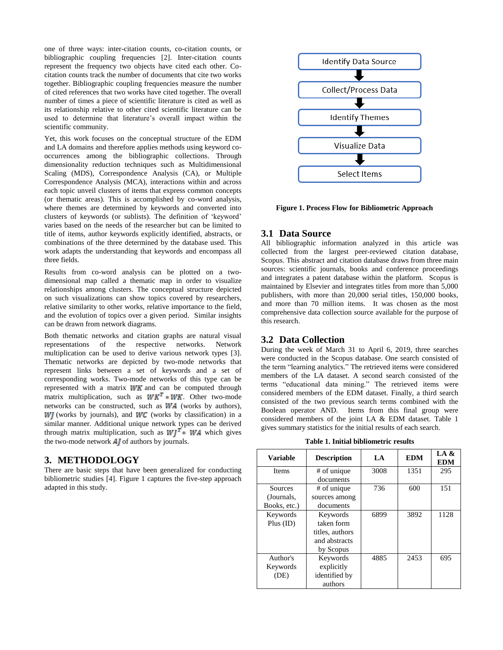one of three ways: inter-citation counts, co-citation counts, or bibliographic coupling frequencies [2]. Inter-citation counts represent the frequency two objects have cited each other. Cocitation counts track the number of documents that cite two works together. Bibliographic coupling frequencies measure the number of cited references that two works have cited together. The overall number of times a piece of scientific literature is cited as well as its relationship relative to other cited scientific literature can be used to determine that literature's overall impact within the scientific community.

Yet, this work focuses on the conceptual structure of the EDM and LA domains and therefore applies methods using keyword cooccurrences among the bibliographic collections. Through dimensionality reduction techniques such as Multidimensional Scaling (MDS), Correspondence Analysis (CA), or Multiple Correspondence Analysis (MCA), interactions within and across each topic unveil clusters of items that express common concepts (or thematic areas). This is accomplished by co-word analysis, where themes are determined by keywords and converted into clusters of keywords (or sublists). The definition of 'keyword' varies based on the needs of the researcher but can be limited to title of items, author keywords explicitly identified, abstracts, or combinations of the three determined by the database used. This work adapts the understanding that keywords and encompass all three fields.

Results from co-word analysis can be plotted on a twodimensional map called a thematic map in order to visualize relationships among clusters. The conceptual structure depicted on such visualizations can show topics covered by researchers, relative similarity to other works, relative importance to the field, and the evolution of topics over a given period. Similar insights can be drawn from network diagrams.

Both thematic networks and citation graphs are natural visual representations of the respective networks. Network multiplication can be used to derive various network types [3]. Thematic networks are depicted by two-mode networks that represent links between a set of keywords and a set of corresponding works. Two-mode networks of this type can be represented with a matrix  $W K$  and can be computed through matrix multiplication, such as  $W K^T * W K$ . Other two-mode networks can be constructed, such as  $WA$  (works by authors),  $WJ$  (works by journals), and  $WC$  (works by classification) in a similar manner. Additional unique network types can be derived through matrix multiplication, such as  $Wl^T$  WA which gives the two-mode network  $\overrightarrow{AJ}$  of authors by journals.

# **3. METHODOLOGY**

There are basic steps that have been generalized for conducting bibliometric studies [4]. Figure 1 captures the five-step approach adapted in this study.



**Figure 1. Process Flow for Bibliometric Approach** 

#### **3.1 Data Source**

All bibliographic information analyzed in this article was collected from the largest peer-reviewed citation database, Scopus. This abstract and citation database draws from three main sources: scientific journals, books and conference proceedings and integrates a patent database within the platform. Scopus is maintained by Elsevier and integrates titles from more than 5,000 publishers, with more than 20,000 serial titles, 150,000 books, and more than 70 million items. It was chosen as the most comprehensive data collection source available for the purpose of this research.

#### **3.2 Data Collection**

During the week of March 31 to April 6, 2019, three searches were conducted in the Scopus database. One search consisted of the term "learning analytics." The retrieved items were considered members of the LA dataset. A second search consisted of the terms "educational data mining." The retrieved items were considered members of the EDM dataset. Finally, a third search consisted of the two previous search terms combined with the Boolean operator AND. Items from this final group were considered members of the joint LA & EDM dataset. Table 1 gives summary statistics for the initial results of each search.

**Table 1. Initial bibliometric results**

| <b>Variable</b> | <b>Description</b> | LA   | <b>EDM</b> | LA &<br><b>EDM</b> |
|-----------------|--------------------|------|------------|--------------------|
| <b>Items</b>    | # of unique        | 3008 | 1351       | 295                |
|                 | documents          |      |            |                    |
| Sources         | # of unique        | 736  | 600        | 151                |
| (Journals,      | sources among      |      |            |                    |
| Books, etc.)    | documents          |      |            |                    |
| Keywords        | Keywords           | 6899 | 3892       | 1128               |
| Plus (ID)       | taken form         |      |            |                    |
|                 | titles, authors    |      |            |                    |
|                 | and abstracts      |      |            |                    |
|                 | by Scopus          |      |            |                    |
| Author's        | Keywords           | 4885 | 2453       | 695                |
| Keywords        | explicitly         |      |            |                    |
| (DE)            | identified by      |      |            |                    |
|                 | authors            |      |            |                    |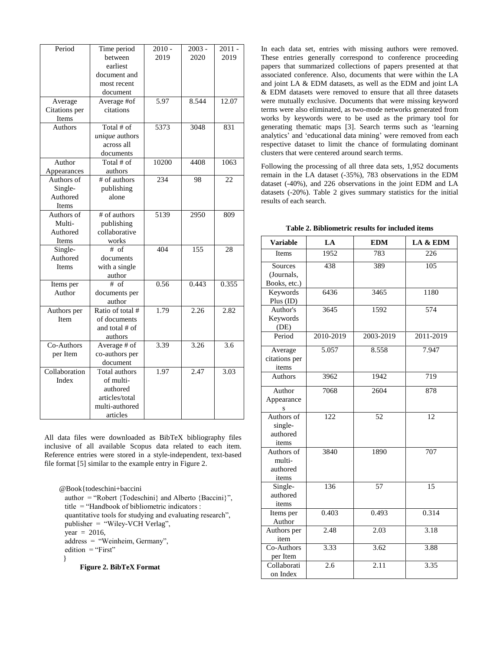| Period        | Time period           | $2010 -$ | $2003 -$ | $2011 -$ |
|---------------|-----------------------|----------|----------|----------|
|               | between               | 2019     | 2020     | 2019     |
|               | earliest              |          |          |          |
|               | document and          |          |          |          |
|               | most recent           |          |          |          |
|               | document              |          |          |          |
| Average       | Average #of           | 5.97     | 8.544    | 12.07    |
| Citations per | citations             |          |          |          |
| Items         |                       |          |          |          |
| Authors       | Total # of            | 5373     | 3048     | 831      |
|               | <i>unique</i> authors |          |          |          |
|               | across all            |          |          |          |
|               | documents             |          |          |          |
| Author        | Total # of            | 10200    | 4408     | 1063     |
| Appearances   | authors               |          |          |          |
| Authors of    | # of authors          | 234      | 98       | 22       |
| Single-       | publishing            |          |          |          |
| Authored      | alone                 |          |          |          |
| Items         |                       |          |          |          |
| Authors of    | # of authors          | 5139     | 2950     | 809      |
| Multi-        | publishing            |          |          |          |
| Authored      | collaborative         |          |          |          |
| Items         | works                 |          |          |          |
| Single-       | $#$ of                | 404      | 155      | 28       |
| Authored      | documents             |          |          |          |
| <b>Items</b>  | with a single         |          |          |          |
|               | author                |          |          |          |
| Items per     | $#$ of                | 0.56     | 0.443    | 0.355    |
| Author        | documents per         |          |          |          |
|               | author                |          |          |          |
| Authors per   | Ratio of total #      | 1.79     | 2.26     | 2.82     |
| Item          | of documents          |          |          |          |
|               | and total # of        |          |          |          |
|               | authors               |          |          |          |
| Co-Authors    | Average # of          | 3.39     | 3.26     | 3.6      |
| per Item      | co-authors per        |          |          |          |
|               | document              |          |          |          |
| Collaboration | Total authors         | 1.97     | 2.47     | 3.03     |
| Index         | of multi-             |          |          |          |
|               | authored              |          |          |          |
|               | articles/total        |          |          |          |
|               | multi-authored        |          |          |          |
|               | articles              |          |          |          |

All data files were downloaded as BibTeX bibliography files inclusive of all available Scopus data related to each item. Reference entries were stored in a style-independent, text-based file format [5] similar to the example entry in Figure 2.

@Book{todeschini+baccini author = "Robert {Todeschini} and Alberto {Baccini}", title = "Handbook of bibliometric indicators : quantitative tools for studying and evaluating research", publisher = "Wiley-VCH Verlag", year =  $2016$ , address = "Weinheim, Germany", edition = "First" }  **Figure 2. BibTeX Format**

In each data set, entries with missing authors were removed. These entries generally correspond to conference proceeding papers that summarized collections of papers presented at that associated conference. Also, documents that were within the LA and joint LA & EDM datasets, as well as the EDM and joint LA & EDM datasets were removed to ensure that all three datasets were mutually exclusive. Documents that were missing keyword terms were also eliminated, as two-mode networks generated from works by keywords were to be used as the primary tool for generating thematic maps [3]. Search terms such as 'learning analytics' and 'educational data mining' were removed from each respective dataset to limit the chance of formulating dominant clusters that were centered around search terms.

Following the processing of all three data sets, 1,952 documents remain in the LA dataset (-35%), 783 observations in the EDM dataset (-40%), and 226 observations in the joint EDM and LA datasets (-20%). Table 2 gives summary statistics for the initial results of each search.

| <b>Variable</b>                            | LA        | <b>EDM</b> | LA & EDM  |  |
|--------------------------------------------|-----------|------------|-----------|--|
| <b>Items</b>                               | 1952      | 783        | 226       |  |
| Sources<br>(Journals,<br>Books, etc.)      | 438       | 389        | 105       |  |
| Keywords<br>Plus (ID)                      | 6436      | 3465       | 1180      |  |
| Author's<br>Keywords<br>(DE)               | 3645      | 1592       | 574       |  |
| Period                                     | 2010-2019 | 2003-2019  | 2011-2019 |  |
| Average<br>citations per<br>items          | 5.057     | 8.558      | 7.947     |  |
| Authors                                    | 3962      | 1942       | 719       |  |
| Author<br>Appearance<br>S                  | 7068      | 2604       | 878       |  |
| Authors of<br>single-<br>authored<br>items | 122       | 52         | 12        |  |
| Authors of<br>multi-<br>authored<br>items  | 3840      | 1890       | 707       |  |
| Single-<br>authored<br>items               | 136       | 57         | 15        |  |
| Items per<br>Author                        | 0.403     | 0.493      | 0.314     |  |
| Authors per<br>item                        | 2.48      | 2.03       | 3.18      |  |
| Co-Authors<br>per Item                     | 3.33      | 3.62       | 3.88      |  |
| Collaborati<br>on Index                    | 2.6       | 2.11       | 3.35      |  |

**Table 2. Bibliometric results for included items**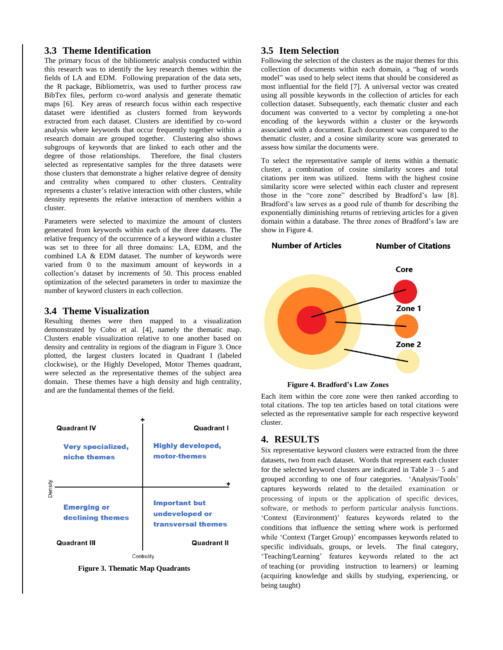## **3.3 Theme Identification**

The primary focus of the bibliometric analysis conducted within this research was to identify the key research themes within the fields of LA and EDM. Following preparation of the data sets, the R package, Bibliometrix, was used to further process raw BibTex files, perform co-word analysis and generate thematic maps [6]. Key areas of research focus within each respective dataset were identified as clusters formed from keywords extracted from each dataset. Clusters are identified by co-word analysis where keywords that occur frequently together within a research domain are grouped together. Clustering also shows subgroups of keywords that are linked to each other and the degree of those relationships. Therefore, the final clusters selected as representative samples for the three datasets were those clusters that demonstrate a higher relative degree of density and centrality when compared to other clusters. Centrality represents a cluster's relative interaction with other clusters, while density represents the relative interaction of members within a cluster.

Parameters were selected to maximize the amount of clusters generated from keywords within each of the three datasets. The relative frequency of the occurrence of a keyword within a cluster was set to three for all three domains: LA, EDM, and the combined LA & EDM dataset. The number of keywords were varied from 0 to the maximum amount of keywords in a collection's dataset by increments of 50. This process enabled optimization of the selected parameters in order to maximize the number of keyword clusters in each collection.

#### **3.4 Theme Visualization**

Resulting themes were then mapped to a visualization demonstrated by Cobo et al. [4], namely the thematic map. Clusters enable visualization relative to one another based on density and centrality in regions of the diagram in Figure 3. Once plotted, the largest clusters located in Quadrant I (labeled clockwise), or the Highly Developed, Motor Themes quadrant, were selected as the representative themes of the subject area domain. These themes have a high density and high centrality, and are the fundamental themes of the field.



 **Figure 3. Thematic Map Quadrants**

#### **3.5 Item Selection**

Following the selection of the clusters as the major themes for this collection of documents within each domain, a "bag of words model" was used to help select items that should be considered as most influential for the field [7]. A universal vector was created using all possible keywords in the collection of articles for each collection dataset. Subsequently, each thematic cluster and each document was converted to a vector by completing a one-hot encoding of the keywords within a cluster or the keywords associated with a document. Each document was compared to the thematic cluster, and a cosine similarity score was generated to assess how similar the documents were.

To select the representative sample of items within a thematic cluster, a combination of cosine similarity scores and total citations per item was utilized. Items with the highest cosine similarity score were selected within each cluster and represent those in the "core zone" described by Bradford's law [8]. Bradford's law serves as a good rule of thumb for describing the exponentially diminishing returns of retrieving articles for a given domain within a database. The three zones of Bradford's law are show in Figure 4.



 **Figure 4. Bradford's Law Zones**

Each item within the core zone were then ranked according to total citations. The top ten articles based on total citations were selected as the representative sample for each respective keyword cluster.

# **4. RESULTS**

Six representative keyword clusters were extracted from the three datasets, two from each dataset. Words that represent each cluster for the selected keyword clusters are indicated in Table 3 – 5 and grouped according to one of four categories. 'Analysis/Tools' captures keywords related to the detailed examination or processing of inputs or the application of specific devices, software, or methods to perform particular analysis functions. 'Context (Environment)' features keywords related to the conditions that influence the setting where work is performed while 'Context (Target Group)' encompasses keywords related to specific individuals, groups, or levels. The final category, 'Teaching/Learning' features keywords related to the act of teaching (or providing instruction to learners) or learning (acquiring knowledge and skills by studying, experiencing, or being taught)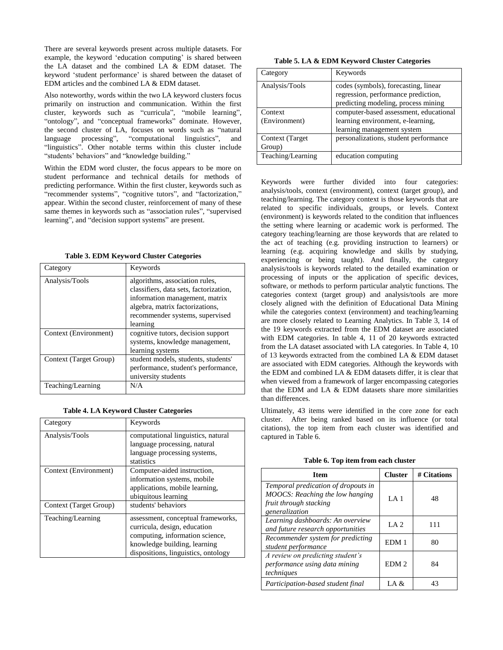There are several keywords present across multiple datasets. For example, the keyword 'education computing' is shared between the LA dataset and the combined LA & EDM dataset. The keyword 'student performance' is shared between the dataset of EDM articles and the combined LA & EDM dataset.

Also noteworthy, words within the two LA keyword clusters focus primarily on instruction and communication. Within the first cluster, keywords such as "curricula", "mobile learning", "ontology", and "conceptual frameworks" dominate. However, the second cluster of LA, focuses on words such as "natural language processing", "computational linguistics", and "linguistics". Other notable terms within this cluster include "students' behaviors" and "knowledge building."

Within the EDM word cluster, the focus appears to be more on student performance and technical details for methods of predicting performance. Within the first cluster, keywords such as "recommender systems", "cognitive tutors", and "factorization," appear. Within the second cluster, reinforcement of many of these same themes in keywords such as "association rules", "supervised learning", and "decision support systems" are present.

| Category               | Keywords                                                                                                                                                                                     |
|------------------------|----------------------------------------------------------------------------------------------------------------------------------------------------------------------------------------------|
| Analysis/Tools         | algorithms, association rules,<br>classifiers, data sets, factorization,<br>information management, matrix<br>algebra, matrix factorizations,<br>recommender systems, supervised<br>learning |
| Context (Environment)  | cognitive tutors, decision support<br>systems, knowledge management,<br>learning systems                                                                                                     |
| Context (Target Group) | student models, students, students'<br>performance, student's performance,<br>university students                                                                                            |
| Teaching/Learning      | N/A                                                                                                                                                                                          |

 **Table 3. EDM Keyword Cluster Categories**

#### **Table 4. LA Keyword Cluster Categories**

| Category               | Keywords                                                                                                                                                                     |
|------------------------|------------------------------------------------------------------------------------------------------------------------------------------------------------------------------|
| Analysis/Tools         | computational linguistics, natural<br>language processing, natural<br>language processing systems,<br>statistics                                                             |
| Context (Environment)  | Computer-aided instruction,<br>information systems, mobile<br>applications, mobile learning,<br>ubiquitous learning                                                          |
| Context (Target Group) | students' behaviors                                                                                                                                                          |
| Teaching/Learning      | assessment, conceptual frameworks,<br>curricula, design, education<br>computing, information science,<br>knowledge building, learning<br>dispositions, linguistics, ontology |

 **Table 5. LA & EDM Keyword Cluster Categories**

| Category          | Keywords                               |
|-------------------|----------------------------------------|
| Analysis/Tools    | codes (symbols), forecasting, linear   |
|                   | regression, performance prediction,    |
|                   | predicting modeling, process mining    |
| Context           | computer-based assessment, educational |
| (Environment)     | learning environment, e-learning,      |
|                   | learning management system             |
| Context (Target)  | personalizations, student performance  |
| Group)            |                                        |
| Teaching/Learning | education computing                    |

Keywords were further divided into four categories: analysis/tools, context (environment), context (target group), and teaching/learning. The category context is those keywords that are related to specific individuals, groups, or levels. Context (environment) is keywords related to the condition that influences the setting where learning or academic work is performed. The category teaching/learning are those keywords that are related to the act of teaching (e.g. providing instruction to learners) or learning (e.g. acquiring knowledge and skills by studying, experiencing or being taught). And finally, the category analysis/tools is keywords related to the detailed examination or processing of inputs or the application of specific devices, software, or methods to perform particular analytic functions. The categories context (target group) and analysis/tools are more closely aligned with the definition of Educational Data Mining while the categories context (environment) and teaching/learning are more closely related to Learning Analytics. In Table 3, 14 of the 19 keywords extracted from the EDM dataset are associated with EDM categories. In table 4, 11 of 20 keywords extracted from the LA dataset associated with LA categories. In Table 4, 10 of 13 keywords extracted from the combined LA & EDM dataset are associated with EDM categories. Although the keywords with the EDM and combined LA & EDM datasets differ, it is clear that when viewed from a framework of larger encompassing categories that the EDM and LA & EDM datasets share more similarities than differences.

Ultimately, 43 items were identified in the core zone for each cluster. After being ranked based on its influence (or total citations), the top item from each cluster was identified and captured in Table 6.

| <b>Item</b>                                                                                                        | <b>Cluster</b>   | # Citations |
|--------------------------------------------------------------------------------------------------------------------|------------------|-------------|
| Temporal predication of dropouts in<br>MOOCS: Reaching the low hanging<br>fruit through stacking<br>generalization | LA1              | 48          |
| Learning dashboards: An overview<br>and future research opportunities                                              | LA 2             | 111         |
| Recommender system for predicting<br>student performance                                                           | EDM 1            | 80          |
| A review on predicting student's<br>performance using data mining<br>techniques                                    | EDM <sub>2</sub> | 84          |
| Participation-based student final                                                                                  | LA &             | 43          |

#### **Table 6. Top item from each cluster**